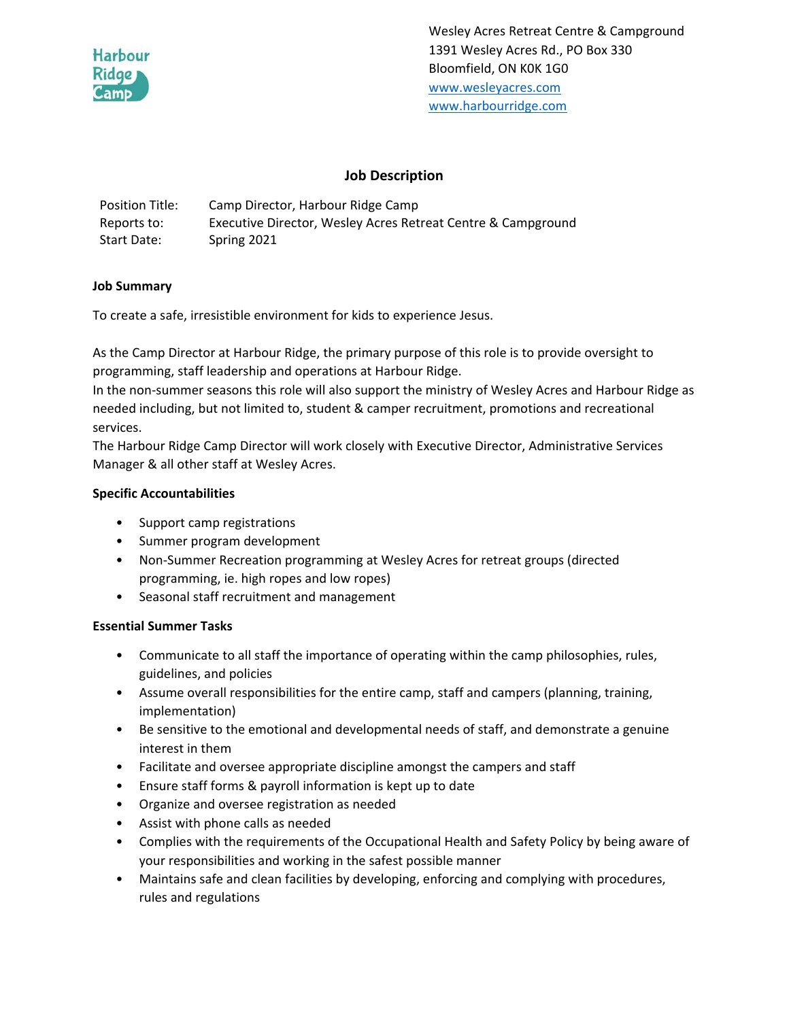

Wesley Acres Retreat Centre & Campground 1391 Wesley Acres Rd., PO Box 330 Bloomfield, ON K0K 1G0 www.wesleyacres.com www.harbourridge.com

# **Job Description**

| <b>Position Title:</b> | Camp Director, Harbour Ridge Camp                            |
|------------------------|--------------------------------------------------------------|
| Reports to:            | Executive Director, Wesley Acres Retreat Centre & Campground |
| Start Date:            | Spring 2021                                                  |

#### **Job Summary**

To create a safe, irresistible environment for kids to experience Jesus.

As the Camp Director at Harbour Ridge, the primary purpose of this role is to provide oversight to programming, staff leadership and operations at Harbour Ridge.

In the non‐summer seasons this role will also support the ministry of Wesley Acres and Harbour Ridge as needed including, but not limited to, student & camper recruitment, promotions and recreational services.

The Harbour Ridge Camp Director will work closely with Executive Director, Administrative Services Manager & all other staff at Wesley Acres.

#### **Specific Accountabilities**

- Support camp registrations
- Summer program development
- Non-Summer Recreation programming at Wesley Acres for retreat groups (directed programming, ie. high ropes and low ropes)
- Seasonal staff recruitment and management

### **Essential Summer Tasks**

- Communicate to all staff the importance of operating within the camp philosophies, rules, guidelines, and policies
- Assume overall responsibilities for the entire camp, staff and campers (planning, training, implementation)
- Be sensitive to the emotional and developmental needs of staff, and demonstrate a genuine interest in them
- Facilitate and oversee appropriate discipline amongst the campers and staff
- Ensure staff forms & payroll information is kept up to date
- Organize and oversee registration as needed
- Assist with phone calls as needed
- Complies with the requirements of the Occupational Health and Safety Policy by being aware of your responsibilities and working in the safest possible manner
- Maintains safe and clean facilities by developing, enforcing and complying with procedures, rules and regulations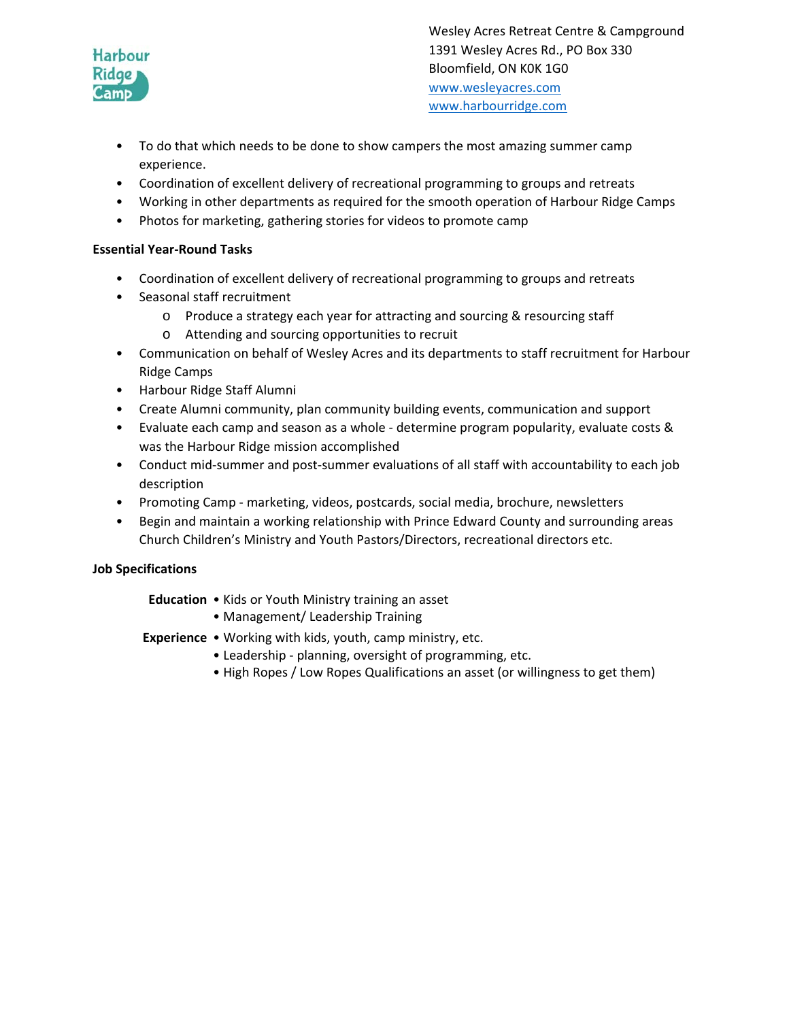

Wesley Acres Retreat Centre & Campground 1391 Wesley Acres Rd., PO Box 330 Bloomfield, ON K0K 1G0 www.wesleyacres.com www.harbourridge.com

- To do that which needs to be done to show campers the most amazing summer camp experience.
- Coordination of excellent delivery of recreational programming to groups and retreats
- Working in other departments as required for the smooth operation of Harbour Ridge Camps
- Photos for marketing, gathering stories for videos to promote camp

# **Essential Year‐Round Tasks**

- Coordination of excellent delivery of recreational programming to groups and retreats
- Seasonal staff recruitment
	- o Produce a strategy each year for attracting and sourcing & resourcing staff
	- o Attending and sourcing opportunities to recruit
- Communication on behalf of Wesley Acres and its departments to staff recruitment for Harbour Ridge Camps
- Harbour Ridge Staff Alumni
- Create Alumni community, plan community building events, communication and support
- Evaluate each camp and season as a whole determine program popularity, evaluate costs & was the Harbour Ridge mission accomplished
- Conduct mid-summer and post-summer evaluations of all staff with accountability to each job description
- Promoting Camp marketing, videos, postcards, social media, brochure, newsletters
- Begin and maintain a working relationship with Prince Edward County and surrounding areas Church Children's Ministry and Youth Pastors/Directors, recreational directors etc.

# **Job Specifications**

### **Education**  • Kids or Youth Ministry training an asset

• Management/ Leadership Training

**Experience •** Working with kids, youth, camp ministry, etc.

- Leadership ‐ planning, oversight of programming, etc.
- High Ropes / Low Ropes Qualifications an asset (or willingness to get them)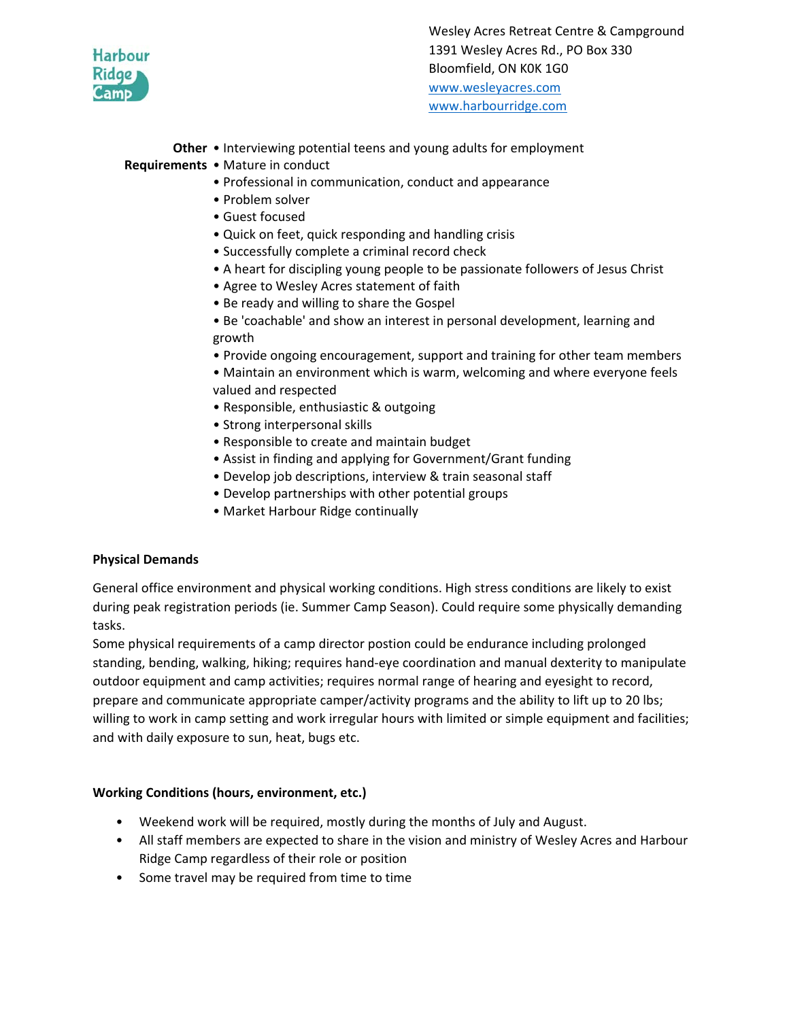

**Other**  • Interviewing potential teens and young adults for employment

**Requirements**  • Mature in conduct

- Professional in communication, conduct and appearance
- Problem solver
- Guest focused
- Quick on feet, quick responding and handling crisis
- Successfully complete a criminal record check
- A heart for discipling young people to be passionate followers of Jesus Christ
- Agree to Wesley Acres statement of faith
- Be ready and willing to share the Gospel
- Be 'coachable' and show an interest in personal development, learning and growth
- Provide ongoing encouragement, support and training for other team members
- Maintain an environment which is warm, welcoming and where everyone feels valued and respected
- Responsible, enthusiastic & outgoing
- Strong interpersonal skills
- Responsible to create and maintain budget
- Assist in finding and applying for Government/Grant funding
- Develop job descriptions, interview & train seasonal staff
- Develop partnerships with other potential groups
- Market Harbour Ridge continually

### **Physical Demands**

General office environment and physical working conditions. High stress conditions are likely to exist during peak registration periods (ie. Summer Camp Season). Could require some physically demanding tasks.

Some physical requirements of a camp director postion could be endurance including prolonged standing, bending, walking, hiking; requires hand‐eye coordination and manual dexterity to manipulate outdoor equipment and camp activities; requires normal range of hearing and eyesight to record, prepare and communicate appropriate camper/activity programs and the ability to lift up to 20 lbs; willing to work in camp setting and work irregular hours with limited or simple equipment and facilities; and with daily exposure to sun, heat, bugs etc.

### **Working Conditions (hours, environment, etc.)**

- Weekend work will be required, mostly during the months of July and August.
- All staff members are expected to share in the vision and ministry of Wesley Acres and Harbour Ridge Camp regardless of their role or position
- Some travel may be required from time to time